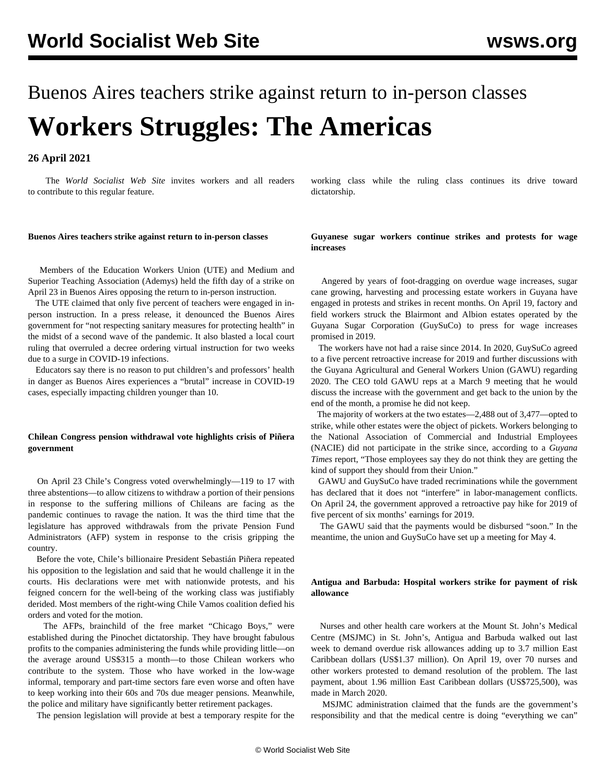# Buenos Aires teachers strike against return to in-person classes **Workers Struggles: The Americas**

## **26 April 2021**

 The *World Socialist Web Site* invites workers and all readers to [contribute](/en/special/pages/contact.html) to this regular feature.

working class while the ruling class continues its drive toward dictatorship.

#### **Buenos Aires teachers strike against return to in-person classes**

 Members of the Education Workers Union (UTE) and Medium and Superior Teaching Association (Ademys) held the fifth day of a strike on April 23 in Buenos Aires opposing the return to in-person instruction.

 The UTE claimed that only five percent of teachers were engaged in inperson instruction. In a press release, it denounced the Buenos Aires government for "not respecting sanitary measures for protecting health" in the midst of a second wave of the pandemic. It also blasted a local court ruling that overruled a decree ordering virtual instruction for two weeks due to a surge in COVID-19 infections.

 Educators say there is no reason to put children's and professors' health in danger as Buenos Aires experiences a "brutal" increase in COVID-19 cases, especially impacting children younger than 10.

## **Chilean Congress pension withdrawal vote highlights crisis of Piñera government**

 On April 23 Chile's Congress voted overwhelmingly—119 to 17 with three abstentions—to allow citizens to withdraw a portion of their pensions in response to the suffering millions of Chileans are facing as the pandemic continues to ravage the nation. It was the third time that the legislature has approved withdrawals from the private Pension Fund Administrators (AFP) system in response to the crisis gripping the country.

 Before the vote, Chile's billionaire President Sebastián Piñera repeated his opposition to the legislation and said that he would challenge it in the courts. His declarations were met with nationwide protests, and his feigned concern for the well-being of the working class was justifiably derided. Most members of the right-wing Chile Vamos coalition defied his orders and voted for the motion.

 The AFPs, brainchild of the free market "Chicago Boys," were established during the Pinochet dictatorship. They have brought fabulous profits to the companies administering the funds while providing little—on the average around US\$315 a month—to those Chilean workers who contribute to the system. Those who have worked in the low-wage informal, temporary and part-time sectors fare even worse and often have to keep working into their 60s and 70s due meager pensions. Meanwhile, the police and military have significantly better retirement packages.

The pension legislation will provide at best a temporary respite for the

**Guyanese sugar workers continue strikes and protests for wage increases**

 Angered by years of foot-dragging on overdue wage increases, sugar cane growing, harvesting and processing estate workers in Guyana have engaged in protests and strikes in recent months. On April 19, factory and field workers struck the Blairmont and Albion estates operated by the Guyana Sugar Corporation (GuySuCo) to press for wage increases promised in 2019.

 The workers have not had a raise since 2014. In 2020, GuySuCo agreed to a five percent retroactive increase for 2019 and further discussions with the Guyana Agricultural and General Workers Union (GAWU) regarding 2020. The CEO told GAWU reps at a March 9 meeting that he would discuss the increase with the government and get back to the union by the end of the month, a promise he did not keep.

 The majority of workers at the two estates—2,488 out of 3,477—opted to strike, while other estates were the object of pickets. Workers belonging to the National Association of Commercial and Industrial Employees (NACIE) did not participate in the strike since, according to a *Guyana Times* report, "Those employees say they do not think they are getting the kind of support they should from their Union."

 GAWU and GuySuCo have traded recriminations while the government has declared that it does not "interfere" in labor-management conflicts. On April 24, the government approved a retroactive pay hike for 2019 of five percent of six months' earnings for 2019.

 The GAWU said that the payments would be disbursed "soon." In the meantime, the union and GuySuCo have set up a meeting for May 4.

## **Antigua and Barbuda: Hospital workers strike for payment of risk allowance**

 Nurses and other health care workers at the Mount St. John's Medical Centre (MSJMC) in St. John's, Antigua and Barbuda walked out last week to demand overdue risk allowances adding up to 3.7 million East Caribbean dollars (US\$1.37 million). On April 19, over 70 nurses and other workers protested to demand resolution of the problem. The last payment, about 1.96 million East Caribbean dollars (US\$725,500), was made in March 2020.

 MSJMC administration claimed that the funds are the government's responsibility and that the medical centre is doing "everything we can"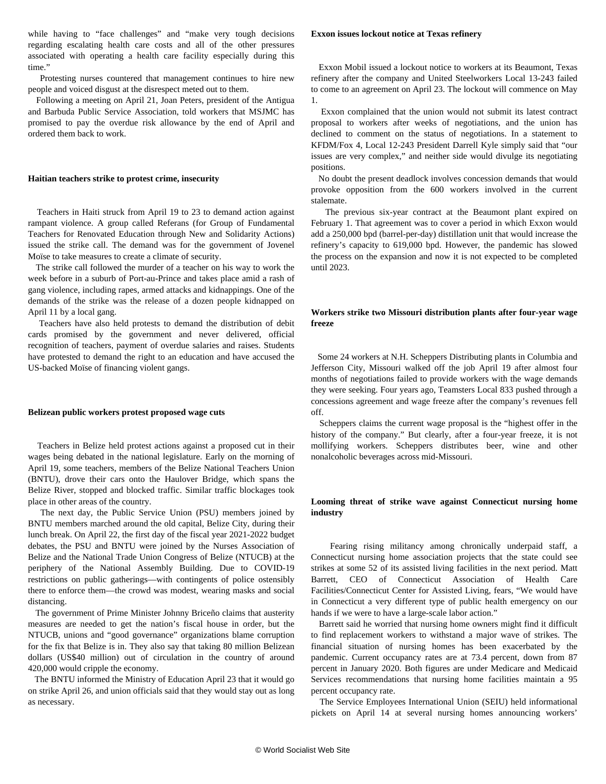while having to "face challenges" and "make very tough decisions regarding escalating health care costs and all of the other pressures associated with operating a health care facility especially during this time."

 Protesting nurses countered that management continues to hire new people and voiced disgust at the disrespect meted out to them.

 Following a meeting on April 21, Joan Peters, president of the Antigua and Barbuda Public Service Association, told workers that MSJMC has promised to pay the overdue risk allowance by the end of April and ordered them back to work.

#### **Haitian teachers strike to protest crime, insecurity**

 Teachers in Haiti struck from April 19 to 23 to demand action against rampant violence. A group called Referans (for Group of Fundamental Teachers for Renovated Education through New and Solidarity Actions) issued the strike call. The demand was for the government of Jovenel Moïse to take measures to create a climate of security.

 The strike call followed the murder of a teacher on his way to work the week before in a suburb of Port-au-Prince and takes place amid a rash of gang violence, including rapes, armed attacks and kidnappings. One of the demands of the strike was the release of a dozen people kidnapped on April 11 by a local gang.

 Teachers have also held protests to demand the distribution of debit cards promised by the government and never delivered, official recognition of teachers, payment of overdue salaries and raises. Students have protested to demand the right to an education and have accused the US-backed Moïse of financing violent gangs.

#### **Belizean public workers protest proposed wage cuts**

 Teachers in Belize held protest actions against a proposed cut in their wages being debated in the national legislature. Early on the morning of April 19, some teachers, members of the Belize National Teachers Union (BNTU), drove their cars onto the Haulover Bridge, which spans the Belize River, stopped and blocked traffic. Similar traffic blockages took place in other areas of the country.

 The next day, the Public Service Union (PSU) members joined by BNTU members marched around the old capital, Belize City, during their lunch break. On April 22, the first day of the fiscal year 2021-2022 budget debates, the PSU and BNTU were joined by the Nurses Association of Belize and the National Trade Union Congress of Belize (NTUCB) at the periphery of the National Assembly Building. Due to COVID-19 restrictions on public gatherings—with contingents of police ostensibly there to enforce them—the crowd was modest, wearing masks and social distancing.

 The government of Prime Minister Johnny Briceño claims that austerity measures are needed to get the nation's fiscal house in order, but the NTUCB, unions and "good governance" organizations blame corruption for the fix that Belize is in. They also say that taking 80 million Belizean dollars (US\$40 million) out of circulation in the country of around 420,000 would cripple the economy.

 The BNTU informed the Ministry of Education April 23 that it would go on strike April 26, and union officials said that they would stay out as long as necessary.

#### **Exxon issues lockout notice at Texas refinery**

 Exxon Mobil issued a lockout notice to workers at its Beaumont, Texas refinery after the company and United Steelworkers Local 13-243 failed to come to an agreement on April 23. The lockout will commence on May 1.

 Exxon complained that the union would not submit its latest contract proposal to workers after weeks of negotiations, and the union has declined to comment on the status of negotiations. In a statement to KFDM/Fox 4, Local 12-243 President Darrell Kyle simply said that "our issues are very complex," and neither side would divulge its negotiating positions.

 No doubt the present deadlock involves concession demands that would provoke opposition from the 600 workers involved in the current stalemate.

 The previous six-year contract at the Beaumont plant expired on February 1. That agreement was to cover a period in which Exxon would add a 250,000 bpd (barrel-per-day) distillation unit that would increase the refinery's capacity to 619,000 bpd. However, the pandemic has slowed the process on the expansion and now it is not expected to be completed until 2023.

## **Workers strike two Missouri distribution plants after four-year wage freeze**

 Some 24 workers at N.H. Scheppers Distributing plants in Columbia and Jefferson City, Missouri walked off the job April 19 after almost four months of negotiations failed to provide workers with the wage demands they were seeking. Four years ago, Teamsters Local 833 pushed through a concessions agreement and wage freeze after the company's revenues fell off.

 Scheppers claims the current wage proposal is the "highest offer in the history of the company." But clearly, after a four-year freeze, it is not mollifying workers. Scheppers distributes beer, wine and other nonalcoholic beverages across mid-Missouri.

## **Looming threat of strike wave against Connecticut nursing home industry**

 Fearing rising militancy among chronically underpaid staff, a Connecticut nursing home association projects that the state could see strikes at some 52 of its assisted living facilities in the next period. Matt Barrett, CEO of Connecticut Association of Health Care Facilities/Connecticut Center for Assisted Living, fears, "We would have in Connecticut a very different type of public health emergency on our hands if we were to have a large-scale labor action."

 Barrett said he worried that nursing home owners might find it difficult to find replacement workers to withstand a major wave of strikes. The financial situation of nursing homes has been exacerbated by the pandemic. Current occupancy rates are at 73.4 percent, down from 87 percent in January 2020. Both figures are under Medicare and Medicaid Services recommendations that nursing home facilities maintain a 95 percent occupancy rate.

 The Service Employees International Union (SEIU) held informational pickets on April 14 at several nursing homes announcing workers'